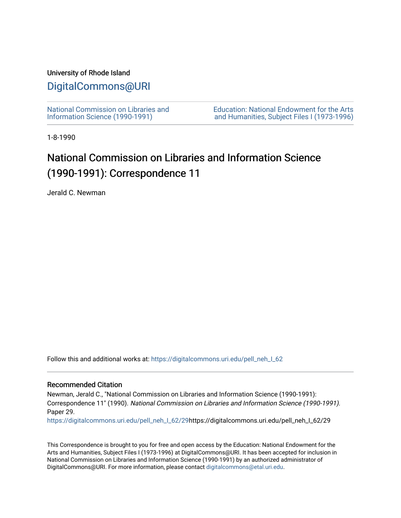#### University of Rhode Island

## [DigitalCommons@URI](https://digitalcommons.uri.edu/)

[National Commission on Libraries and](https://digitalcommons.uri.edu/pell_neh_I_62) [Information Science \(1990-1991\)](https://digitalcommons.uri.edu/pell_neh_I_62) 

[Education: National Endowment for the Arts](https://digitalcommons.uri.edu/pell_neh_I)  [and Humanities, Subject Files I \(1973-1996\)](https://digitalcommons.uri.edu/pell_neh_I) 

1-8-1990

# National Commission on Libraries and Information Science (1990-1991): Correspondence 11

Jerald C. Newman

Follow this and additional works at: [https://digitalcommons.uri.edu/pell\\_neh\\_I\\_62](https://digitalcommons.uri.edu/pell_neh_I_62?utm_source=digitalcommons.uri.edu%2Fpell_neh_I_62%2F29&utm_medium=PDF&utm_campaign=PDFCoverPages) 

#### Recommended Citation

Newman, Jerald C., "National Commission on Libraries and Information Science (1990-1991): Correspondence 11" (1990). National Commission on Libraries and Information Science (1990-1991). Paper 29.

[https://digitalcommons.uri.edu/pell\\_neh\\_I\\_62/29h](https://digitalcommons.uri.edu/pell_neh_I_62/29?utm_source=digitalcommons.uri.edu%2Fpell_neh_I_62%2F29&utm_medium=PDF&utm_campaign=PDFCoverPages)ttps://digitalcommons.uri.edu/pell\_neh\_I\_62/29

This Correspondence is brought to you for free and open access by the Education: National Endowment for the Arts and Humanities, Subject Files I (1973-1996) at DigitalCommons@URI. It has been accepted for inclusion in National Commission on Libraries and Information Science (1990-1991) by an authorized administrator of DigitalCommons@URI. For more information, please contact [digitalcommons@etal.uri.edu.](mailto:digitalcommons@etal.uri.edu)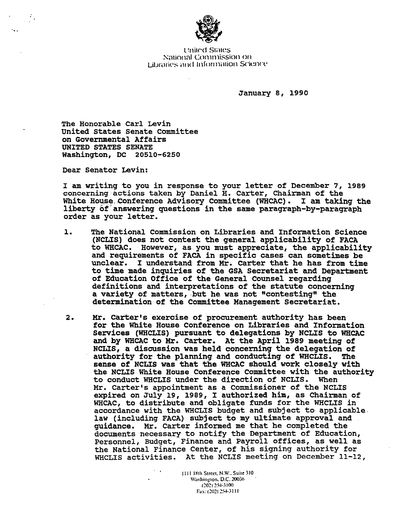

**United States** National Commission on Libraries and Information Science

January s, 1990

The Honorable Carl Levin United states Senate committee on Governmental Affairs UNITED STATES SENATE Washington, DC 20510-6250

Dear Senator Levin:

I am writing to you in response to your letter of Deceniber 7, 1989 concerning actions taken by Daniel H. carter, Chairman of the White House Conference Advisory Committee (WHCAC). I am taking the liberty of answering questions in the same paragraph-by-paragraph order as your letter.

- l. The National commission on Libraries and Information Science (NCLIS) does not contest the general applicability of FACA to WHCAC. However, as you must appreciate, the applicability and requirements of FACA in specific cases can sometimes be unclear. I understand from Mr. carter that he has from time to time made inquiries of the GSA Secretariat and Department of Education Office of the General Counsel regarding definitions and interpretations of the statute concerning a variety of matters, but he was not "contesting" the determination of the Committee Management secretariat.
- 2. Mr. Carter's exercise of procurement authority has been for the White House Conference on Libraries and Information Services (WHCLIS) pursuant to delegations by NCLIS to WHCAC and by WHCAC to Mr. carter. At the April 1989 meeting of NCLIS, a discussion was held concerning the delegation of authority for the planning and conducting of WHCLIS. The sense of NCLIS was that the WHCAC should work closely with the NCLIS White House Conference Committee with the authority<br>to conduct WHCLIS under the direction of NCLIS. When to conduct WHCLIS under the direction of NCLIS. Mr. Carter's appointment as a Commissioner of the NCLIS expired on July<sup>19</sup>, 1989, I authorized him, as Chairman of WHCAC, to distribute and obligate funds for the WHCLIS in accordance with the WHCLIS budget and subject to applicable law (including FACA) subject to my ultimate approval and guidance. Mr. carter informed me that he completed the documents necessary to notify the Department of Education, Personnel, Budget, Finance and Payroll offices, as well as the National Finance Center, of his signing authority for WHCLIS activities. At the NCLIS meeting on December 11-12,

1111 H<1h Street. N.W .. Suite 310 Washington, D.C. 20036 CO2) 254-3100 Fax: (202) 254-3111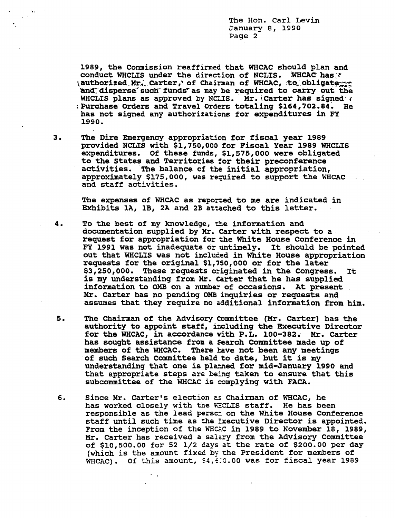The Hon. Carl Levin January e, 1990 Page 2

1989, the Commission reaffirmed that WHCAC should plan and conduct WHCLIS under the direction of NCLIS. WHCAC has.\* \authorized. Mr.; Carter,' of Chairman of WHCAC, .to\_obligate and disperse such funds as may be required to carry out the WHCLIS plans as approved by NCLIS. Mr.  $|Carter|$  has signed  $\epsilon$ ~Purchase Orders and Travel Orders totaling \$164,702.84~ He has not signed any authorizations for expenditures in FY 1990.

3. The Dire Emergency appropriation for fiscal year 1989 provided NCLIS with \$1,750,000 for Fiscal Year 1989 WHCLIS expenditures. Of these funds, \$1,575,000 were obligated to the States and Territories for their preconference activities. The balance of the initial appropriation, approximately \$175,000, was required to support the WHCAC and staff activities.

The expenses of WHCAC as reported to me are indicated in Exhibits 1A, 1B, 2A and 2B attached to this letter.

- 4. To the best of my knowledge, the information and documentation supplied by Mr. carter with respect to a. request for appropriation for the White House Conference in FY 1991 was not inadequate or untimely. It should be pointed out that WHCLIS was not included in White House appropriation requests for the original \$1,750,000 or for the later \$3,250,000. These requests originated in the Congress. It is my understanding from Kr. carter that he has supplied information to OMB on a number of occasions. At present Mr. Carter has no pending OMB inquiries or requests and assumes that they require no additional information from him.
- 5. The Chairman of the Advisory Committee (Mr. carter) has the authority to appoint staff, ixcluding the Executive Director for the WHCAC, in accordance with P.L. 100-382. Mr. Carter has sought assistance from a search Committee made up of members of the WHCAC. There have not been any meetings of such Search Committee held to date, but it is my understanding that one is planned for mid-January 1990 and that appropriate steps are being taken to ensure that this subcommittee of the WHCAC is complying with FACA.
- 6. Since Mr. Carter's election as Chairman of WHCAC, he has worked closely with the WECLIS staff. He has been responsible as the lead persci on the White House Conference staff until such time as the Executive Director is appointed. From the inception of the WHG.C in 1989 to November 18, 1989, Mr. Carter has received a salary from the Advisory Committee of \$10,500.00 for 52 1/2 days at the rate of \$200.00 per day (which is the amount fixed by the President for members of WHCAC). Of this amount, \$4,  $f:0.00$  was for fiscal year 1989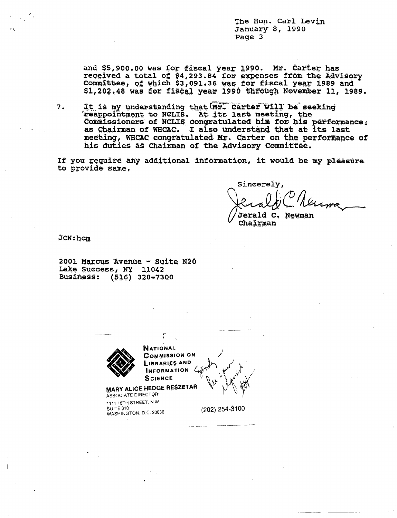The Hon. Carl Levin January 8, 1990 Page 3

and \$5,900.00 was for fiscal year 1990. Mr. Carter has received a total of \$4,293.84 for expenses from the Advisory<br>Committee, of which \$3,091.36 was for fiscal year 1989 and \$1,202.48 was for fiscal year 1990 through November 11, 1989.

7. It is my understanding that Mr. Carter will be seeking feappointment to NCLIS. At its last meeting, the Commissioners of NCLIS congratulated him for his performance, as Chairman of WHCAC. I also understand that at its last meeting, WHCAC congratulated Mr. Carter on the performance of his duties as Chairman of the Advisory Committee.

If you require any additional information, it would be my pleasure to provide same.

Sincerely, Newman Jerald  $C_{\bullet}$ 

Chairman

JCN: hcm

2001 Marcus Avenue - Suite N20 Lake Success, NY 11042 Business: (516) 328-7300

**NATIONAL COMMISSION ON LIBRARIES AND INFORMATION SCIENCE** MARY ALICE HEDGE RESZETAR ASSOCIATE DIRECTOR 1111 18TH STREET, N.W. SUITE 310 (202) 254-3100 WASHINGTON, D.C. 20036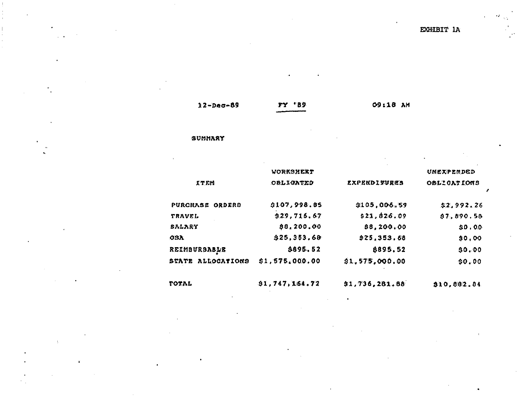EXHIBIT 1A

| $12 - Dec - 89$ |  |
|-----------------|--|
|-----------------|--|

**FY 'B9** 

09:18 АМ

#### SUMMARY

|                   | WORKSHEET        |                            | UNEXPERDED  |
|-------------------|------------------|----------------------------|-------------|
| <b>ITEM</b>       | <b>OBLIGATED</b> | <i><b>EXPENDITURES</b></i> | OBLICATIONS |
| PURCHASE ORDERS   | \$107,998.85     | \$105,006.59               | \$2,992.26  |
| TRAVEL            | 9.29, 716, 67    | \$21.026.09                | \$7,890.58  |
| SALARY            | \$8,200.00       | 88,200.00                  | \$0,00      |
| <b>OSA</b>        | \$25,353.68      | \$25,353.68                | \$0,00      |
| REIMBURSABLE      | \$695.52         | 8895.52                    | 30.00       |
| STATE ALLOCATIONS | \$1,575,000,00   | \$1,575,000.00             | \$0.00      |

 $\bullet$ 

TOTAL

 $\bullet$ 

 $\Lambda$ 

91,747,164.72

\$1,736,281.88

\$10,882.84

 $\mathbf{r}$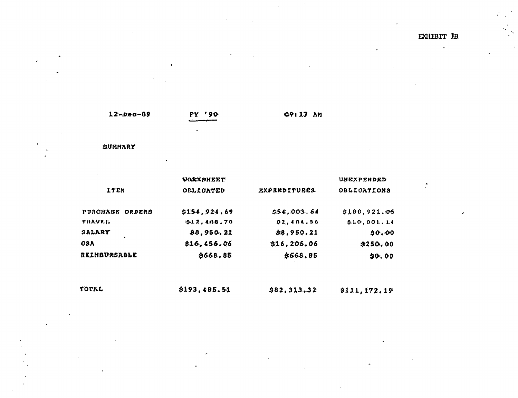$\mathcal{L}$ 

 $12 - Dec - 89$ 

 $FY$  '90

09:17 AM

SUMMARY

**WORKSHEET** UNEXPENDED **ITEM** OBLECATED **OBLIGATIONS** EXPENDITURES. \$154,924.69  $$54,003.64$  $$100, 921.05$ PURCHASE ORDERS  $0.1.2.400.70$  $02,404.56$  $[0.10, 0.01]$ , 1.4 **THAVEL** SALARY \$8,950.21 \$8,950.21 \$0.00 **OSA** 816,456.06 \$16,206.06  $$250,00$ REIMBURSABLE **9668.85** \$668.85  $90.00$ 

TOTAL \$193,485.51  $$82,313.32$ \$111,172.19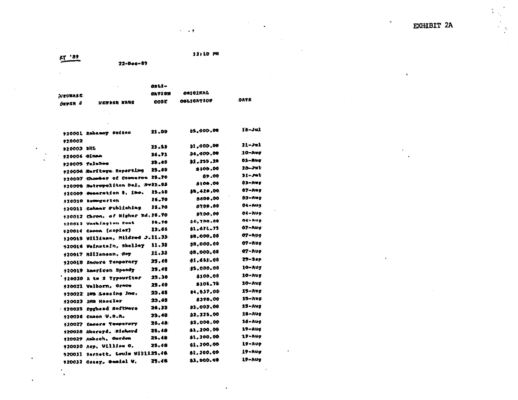**EXHIBIT 2A** 

 $\alpha$ 

 $\Lambda$ 

 $\langle \frac{1}{2} \rangle$  $\frac{1}{\sqrt{2}}$ 

> $\ddot{\phantom{a}}$  $\frac{1}{2}$

**ET '82** 

 $\Delta \phi$ 

 $\epsilon$ 

 $\frac{1}{4}$ 

 $\ddot{\phantom{a}}$ 

 $\bullet$ 

12:10 PM

 $\sim 100$  km s  $^{-1}$ 

OBLI- $\mathbf{r}$ ORIGINAL **CATION PIECHABE IDATE OBLIORTION CODE** VENSOR NAME DEPER 0

 $22 - 0 - 0 - 07$ 

 $\mathcal{F}_{\text{c},\text{c}}$  $\bar{z}$ 

|              | 920001 Enhancy Sudies             | 21.00 | 05,000,00         | 18–Jul            |
|--------------|-----------------------------------|-------|-------------------|-------------------|
| 97.0002      |                                   |       |                   |                   |
| 920003 DHL   |                                   | 29.53 | 01,000.00         | $21 - 32$         |
| 920004 OLBAA |                                   | 26.71 | 54,000,00         | $10 - \lambda$ ug |
|              | 920005 falaSeo                    | 25.40 | 1.255.28          | 03-Aug            |
|              | 920006 Barftoge Reporting         | 25.09 | 5300.00           | 28–29)            |
|              | 920007 Chomber of Conneros 25.70  |       | 09.00             | $21 - 201$        |
|              | 920008 Hoteopolitan Dol, Sv2D.59  |       | \$108.00          | $03 - A + g$      |
|              | 120009 Constation 8, Inc.         | 25.48 | \$5,420.00.       | $07 - A + g$      |
|              | 920010 Reverserten                | 28.70 | 5400.00           | 03-Awg            |
|              | 920013 Cahner Publishing          | 25.70 | 0700.00           | 04-Aug            |
|              | 920012 Chron, of Higher Ed. 25.70 |       | 97.00 .00         | 04-Aug            |
|              | 1:20033 Veekfiretun zont          | 99.70 | 04,700.00         | 04: AUG:          |
| 420014       | Canon (sopier)                    | 23.66 | 81.671.75         | 07-Nug            |
|              | 920018 Williams, Wildred J.11.33  |       | 00,000.00         | 07-NU9            |
|              | 920016 Vefnætain, Skelley         | 11.98 | 98,000.00         | 07-Aug            |
|              | 420017 Millenson, Roy             | 11.33 | 108,000,00        | 07-Nuo            |
|              | 920018 Encore Temporary           | 25.48 | 01,661.00         | $29 - 9eP$        |
|              | +20019 American Speedy            | 25,40 | 85,000.00         | 10-AU7            |
|              |                                   | 25.30 | 8100.00           | '10-Aug           |
|              | 920020 A tm Z Typewriter          | 25.40 | 8108.78           | 10-Aug            |
|              | 920021 Valborn, Orace             | 23.65 | 84,537,00         | 15-лод            |
|              | 120022 IMS Eeening Inc.           | 22.65 | 8390.00           | 15–Aug            |
|              | 920023 inn Kasaler                | 26.32 | 81,003.00         | 15-Avs            |
|              | 920025 Egghand Software           | 29.48 | 92,225.00         | $16 - \lambda$ ug |
|              | 920026 Canon U.S.A.               | 26.40 | \$2,000,00        | $16 - A$ ug       |
|              | 920027 Lacora Temperary           | 25.40 | \$1,200.00        | <b>19-Aug</b>     |
| 920028       | Akoroyd, Richard                  | 25.48 | 81,200.00         | 19-Aug            |
| 120029       | Ambach, Gordon                    | 25.48 | <b>\$1,200.00</b> | 19-AUG            |
|              | 920030 Asp. William C.            |       | 81,200.00         | 19-Aug            |
| 920031       | Barnett, Louis Willi23.46         |       | \$3.DOO.CO        | $19 - \lambda$ Ug |
|              | 920032 Caney, Demini V.           | 25.46 |                   |                   |

 $\bullet$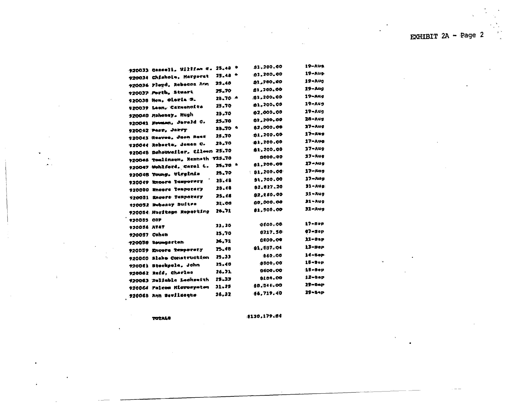|                                            |           | 91,200.00         | 19-Aug            |
|--------------------------------------------|-----------|-------------------|-------------------|
| 920033 Gassell, Witten c. 25.48 $^{\circ}$ | $25.48 -$ | 91,200.00         | $19 - \lambda$ us |
| 920034 Chishole, Margerat                  |           | 01,700.00         | 19-Aug            |
| 920036 Floyd, Rebecca Arm                  | 29.48     | 81,700.00         | 19-Aug            |
| 920037 Porth, Steart                       | 25.70     |                   | 19-мц             |
| 920038 Hon, Oloria S.                      | 25.70 ^   | \$1,200.00        | 19-Aug            |
| 920039 Leon, Carmenoite                    | 25.70     | 81,200.00         | 19-Aug            |
| 920040 Hohoney, Hugh                       | 25.70     | 02,000.00         |                   |
| 920041 Newman, Jereld C.                   | 25.70     | 01,200,00         | 28-Aug            |
| 920042 Perr, Jakry                         | 28.70 4   | 82,000.06         | 37-Aud            |
| 920043 Reaves, Joon Rase                   | 25.70     | 91,200.00         | 17-лия            |
| 920044 Roberta, Jenes C.                   | 28.70     | 200.00            | 17-Aug            |
| 920048 Dehouweiler, Cileen 25.70           |           | \$1,200.00        | $17 - Aug$        |
| 920046 Toulinson, Kenneth 925.70           |           | 9600.00           | 17-Rug            |
| 920047 Wohlford, Carol L.                  | 25.70 A   | 81,200.00         | 17-Aug            |
| 920045 Young, Wigginia                     | 25.70     | $\pm$ 81,200,00   | 17-Aug            |
| 920049 Enpere Temporary                    | 28.48     | 91.700.00         | $17 - Rug$        |
| 920080 Encors Insperacy                    | 25.48     | 02.227.20         | 31-AU9:           |
| 920031 Encers Tennerary                    | 25.48     | <b>92, 160.00</b> | $91 - Aug$        |
| 120052 Bobeauy Bulten                      | 21.00     | 00,000.00         | 21-Aug            |
| 920084 Noritage Reporting                  | 26.71     | 81,500.00         | 32-Aug            |
| 920085 COP                                 |           |                   |                   |
| <b>920056 AVAT</b>                         | 23,20     | 0000.00           | 17-sep            |
| 920057 Cohen                               | 25.70     | 8217.50           | $07 - 50p$        |
| 720050 Beumgarten                          | 26.71     | 00.0012           | $22 - 8eP$        |
|                                            | 25.48     | 81.687.04         | 13-вер.           |
| 920059 Encore Temporary                    | 29.33     | <b>060.00</b>     | 14-Sep            |
| 920000 Blake Construction                  | 25.40     | .0000000          | $18 - 9$ op       |
| 920061 Stockpole, John                     | 26.7A     | <b>0600.00</b>    | 15-8ep            |
| 920062 Refd. Cherles                       |           | 8108.00           | 12-вер            |
| 120063 Relieble Leckseith                  | 25.33     | 90.944.00         | 25—90Р            |
| 920064 Palcon Microsystem                  | J1.25     |                   | 29-54P            |
| 92006B Ann Bovileogue                      | 26.32     | 06,719.40         |                   |

TOTALS

\$130,179.04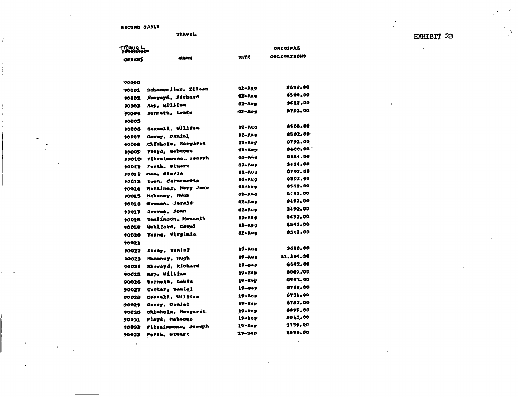BECORD TABLE

TRAVEL

**INLAME:** 

**EXHIBIT 2B** 

 $\bullet$ 

 $\Delta$ 

| <b>Lighteder</b> |  |
|------------------|--|
| <b>DEDERS</b>    |  |

**OBLIGATIONS** 

OREGIRAS

90000

| 90001            | Schooverlier, Eftean                | :02-Aug       | :1692.00       |
|------------------|-------------------------------------|---------------|----------------|
| 90002            | Alesreyd, Richard                   | 02-Aug        | 1500.00        |
| 90003            | Aup. William                        | 02-Aug        | \$612.00       |
| 90004            | Barnett, Louis                      | 02-Avg        | 5792.00        |
| 90005            |                                     |               |                |
| 90006            | Caseell, William                    | 02-Aug        | 8500.00        |
|                  | Coooy, Daniel                       | 92-Aug        | 8582.00        |
| 90007<br>90000   | Chicholu, Margarot                  | 02-Aug        | 9792.00        |
|                  | <b>Flord, Nobecca</b>               | 02-119        | 9609.00        |
| 90009<br>9001D - | ritzainmona, Joueph                 | 02-Mig        | 9554.00        |
| 10OL1            | Forth, Stuert                       | 02-Aug        | 5494.00        |
| 900 N Z          | men, Clotin                         | <b>02-AUG</b> | 9797.00        |
| 400IS            | Loon, Carmengita                    | Ol-Aug        | 6592.00        |
| 10014            | <b>Martines, Mory Jens</b>          | 02-Aug        | 8592.00        |
| 90015            | hahoney, Nyph                       | 02-Awg        | 6492.00        |
| 9001 S           | <b>Fougan, Jerald</b>               | 02-Avg        | \$492.00       |
| 90017            | Regves, Jonn                        | ⊕2∽auo        | 9492.00        |
| 90016            | Toulinson, Kenneth                  | 02-Aug        | 9492.00        |
| 900L9            | <b>Wohlford, Carol</b>              | 02-Aug        | <b>AS42.00</b> |
| 40020            | Young, Virginia.                    | $02 - Avg$    | 8502.00        |
| 98021            |                                     |               |                |
| 90022            | Casey, Daniel                       | 15-Aug        | 9600.00        |
| 90023            | Hahoney, ilugh                      | 17-Aug        | 81,304,90      |
| 90021            | Akerovd, Richard                    | 19-BeP        | 8697.00        |
|                  | asp. William                        | $19 - 80p$    | 8007.00        |
| 90025            | Darnett, Louis                      | $19 - n-p$    | 3597.00        |
| 90026            | Corter, Daniel                      | 19-эер        | 9789.00        |
| 90027            | Concell, William                    | 19-20P        | 8751.00        |
| 9002B            |                                     | 19-зер        | 6787.00        |
| 90029            | Coser, Daniel<br>Chisholm, Margaret | $19 - 8$ ap   | 9997.00        |
| 90020            | Floyd, Robecca                      | $19 - 5eF$    | 9613.00        |
| 90031            | Pitzaimmonu, Joneph                 | $19 - 9$ ep   | 9159.00        |
| 90032            | Forth, Atuart                       | 19-Sep        | S699.OG        |
| <b>EEDOQ</b>     |                                     |               |                |